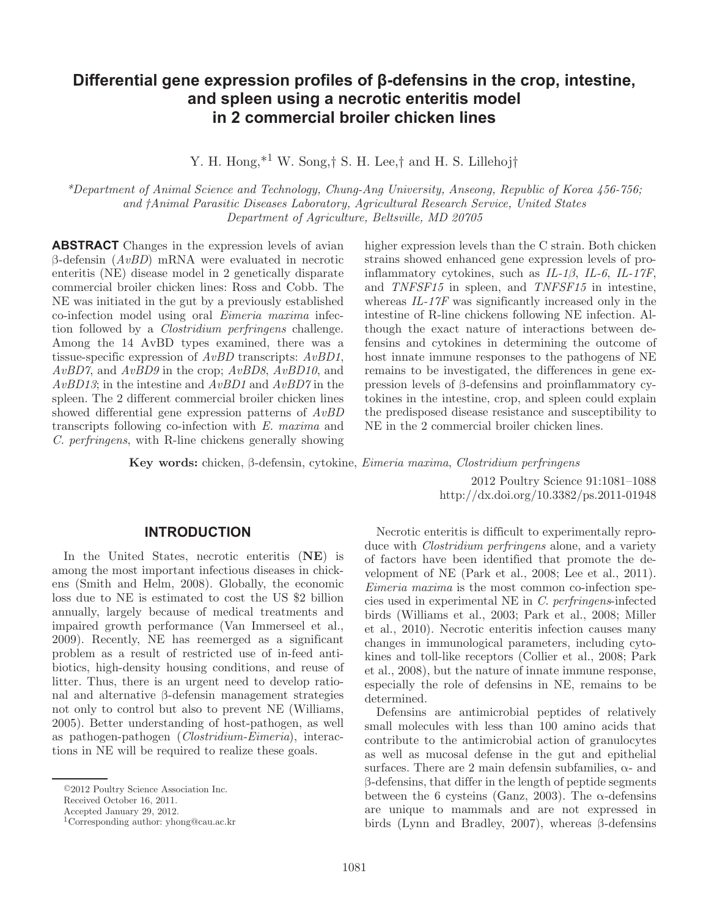# **Differential gene expression profiles of β-defensins in the crop, intestine, and spleen using a necrotic enteritis model in 2 commercial broiler chicken lines**

Y. H. Hong,<sup>\*1</sup> W. Song,† S. H. Lee,† and H. S. Lillehoj†

 *\* Department of Animal Science and Technology, Chung-Ang University, Anseong, Republic of Korea 456-756; and † Animal Parasitic Diseases Laboratory, Agricultural Research Service, United States Department of Agriculture, Beltsville, MD 20705* 

 **ABSTRACT** Changes in the expression levels of avian β-defensin (*AvBD*) mRNA were evaluated in necrotic enteritis (NE) disease model in 2 genetically disparate commercial broiler chicken lines: Ross and Cobb. The NE was initiated in the gut by a previously established co-infection model using oral *Eimeria maxima* infection followed by a *Clostridium perfringens* challenge. Among the 14 AvBD types examined, there was a tissue-specific expression of *AvBD* transcripts: *AvBD1*, *AvBD7*, and *AvBD9* in the crop; *AvBD8*, *AvBD10*, and *AvBD13*; in the intestine and *AvBD1* and *AvBD7* in the spleen. The 2 different commercial broiler chicken lines showed differential gene expression patterns of *AvBD* transcripts following co-infection with *E. maxima* and *C. perfringens*, with R-line chickens generally showing higher expression levels than the C strain. Both chicken strains showed enhanced gene expression levels of proinflammatory cytokines, such as *IL-1β*, *IL-6*, *IL-17F*, and *TNFSF15* in spleen, and *TNFSF15* in intestine, whereas *IL-17F* was significantly increased only in the intestine of R-line chickens following NE infection. Although the exact nature of interactions between defensins and cytokines in determining the outcome of host innate immune responses to the pathogens of NE remains to be investigated, the differences in gene expression levels of β-defensins and proinflammatory cytokines in the intestine, crop, and spleen could explain the predisposed disease resistance and susceptibility to NE in the 2 commercial broiler chicken lines.

 **Key words:** chicken , β-defensin , cytokine , *Eimeria maxima* , *Clostridium perfringens*

 2012 Poultry Science 91 :1081–1088 http://dx.doi.org/ 10.3382/ps.2011-01948

#### **INTRODUCTION**

 In the United States, necrotic enteritis (**NE**) is among the most important infectious diseases in chickens (Smith and Helm, 2008). Globally, the economic loss due to NE is estimated to cost the US \$2 billion annually, largely because of medical treatments and impaired growth performance (Van Immerseel et al., 2009). Recently, NE has reemerged as a significant problem as a result of restricted use of in-feed antibiotics, high-density housing conditions, and reuse of litter. Thus, there is an urgent need to develop rational and alternative β-defensin management strategies not only to control but also to prevent NE (Williams, 2005). Better understanding of host-pathogen, as well as pathogen-pathogen (*Clostridium-Eimeria*), interactions in NE will be required to realize these goals.

 Necrotic enteritis is difficult to experimentally reproduce with *Clostridium perfringens* alone, and a variety of factors have been identified that promote the development of NE (Park et al., 2008; Lee et al., 2011). *Eimeria maxima* is the most common co-infection species used in experimental NE in *C. perfringens*-infected birds (Williams et al., 2003; Park et al., 2008; Miller et al., 2010). Necrotic enteritis infection causes many changes in immunological parameters, including cytokines and toll-like receptors (Collier et al., 2008; Park et al., 2008), but the nature of innate immune response, especially the role of defensins in NE, remains to be determined.

 Defensins are antimicrobial peptides of relatively small molecules with less than 100 amino acids that contribute to the antimicrobial action of granulocytes as well as mucosal defense in the gut and epithelial surfaces. There are 2 main defensin subfamilies,  $\alpha$ - and β-defensins, that differ in the length of peptide segments between the 6 cysteins (Ganz, 2003). The  $\alpha$ -defensins are unique to mammals and are not expressed in birds (Lynn and Bradley, 2007), whereas β-defensins

<sup>© 2012</sup> Poultry Science Association Inc.

Received October 16, 2011.

Accepted January 29, 2012.

 <sup>1</sup> Corresponding author: yhong@cau.ac.kr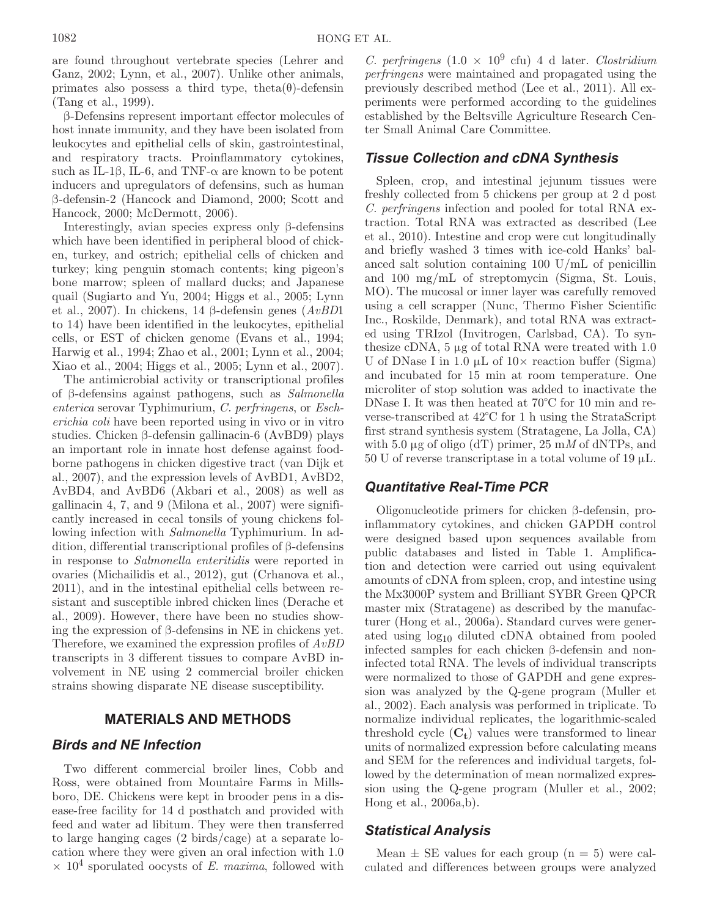are found throughout vertebrate species (Lehrer and Ganz, 2002; Lynn, et al., 2007). Unlike other animals, primates also possess a third type, theta $(\theta)$ -defensin (Tang et al., 1999).

β-Defensins represent important effector molecules of host innate immunity, and they have been isolated from leukocytes and epithelial cells of skin, gastrointestinal, and respiratory tracts. Proinflammatory cytokines, such as IL-1 $\beta$ , IL-6, and TNF- $\alpha$  are known to be potent inducers and upregulators of defensins, such as human β-defensin-2 (Hancock and Diamond, 2000; Scott and Hancock, 2000; McDermott, 2006).

Interestingly, avian species express only β-defensins which have been identified in peripheral blood of chicken, turkey, and ostrich; epithelial cells of chicken and turkey; king penguin stomach contents; king pigeon's bone marrow; spleen of mallard ducks; and Japanese quail (Sugiarto and Yu, 2004; Higgs et al., 2005; Lynn et al., 2007). In chickens, 14 β-defensin genes (*AvBD*1 to 14) have been identified in the leukocytes, epithelial cells, or EST of chicken genome (Evans et al., 1994; Harwig et al., 1994; Zhao et al., 2001; Lynn et al., 2004; Xiao et al., 2004; Higgs et al., 2005; Lynn et al., 2007).

The antimicrobial activity or transcriptional profiles of β-defensins against pathogens, such as *Salmonella enterica* serovar Typhimurium, *C. perfringens*, or *Escherichia coli* have been reported using in vivo or in vitro studies. Chicken β-defensin gallinacin-6 (AvBD9) plays an important role in innate host defense against foodborne pathogens in chicken digestive tract (van Dijk et al., 2007), and the expression levels of AvBD1, AvBD2, AvBD4, and AvBD6 (Akbari et al., 2008) as well as gallinacin 4, 7, and 9 (Milona et al., 2007) were significantly increased in cecal tonsils of young chickens following infection with *Salmonella* Typhimurium. In addition, differential transcriptional profiles of β-defensins in response to *Salmonella enteritidis* were reported in ovaries (Michailidis et al., 2012), gut (Crhanova et al., 2011), and in the intestinal epithelial cells between resistant and susceptible inbred chicken lines (Derache et al., 2009). However, there have been no studies showing the expression of β-defensins in NE in chickens yet. Therefore, we examined the expression profiles of *AvBD* transcripts in 3 different tissues to compare AvBD involvement in NE using 2 commercial broiler chicken strains showing disparate NE disease susceptibility.

### **MATERIALS AND METHODS**

# *Birds and NE Infection*

Two different commercial broiler lines, Cobb and Ross, were obtained from Mountaire Farms in Millsboro, DE. Chickens were kept in brooder pens in a disease-free facility for 14 d posthatch and provided with feed and water ad libitum*.* They were then transferred to large hanging cages (2 birds/cage) at a separate location where they were given an oral infection with 1.0  $\times$  10<sup>4</sup> sporulated oocysts of *E. maxima*, followed with

*C. perfringens*  $(1.0 \times 10^9 \text{ cft})$  4 d later. *Clostridium perfringens* were maintained and propagated using the previously described method (Lee et al., 2011). All experiments were performed according to the guidelines established by the Beltsville Agriculture Research Center Small Animal Care Committee.

### *Tissue Collection and cDNA Synthesis*

Spleen, crop, and intestinal jejunum tissues were freshly collected from 5 chickens per group at 2 d post *C. perfringens* infection and pooled for total RNA extraction. Total RNA was extracted as described (Lee et al., 2010). Intestine and crop were cut longitudinally and briefly washed 3 times with ice-cold Hanks' balanced salt solution containing 100 U/mL of penicillin and 100 mg/mL of streptomycin (Sigma, St. Louis, MO). The mucosal or inner layer was carefully removed using a cell scrapper (Nunc, Thermo Fisher Scientific Inc., Roskilde, Denmark), and total RNA was extracted using TRIzol (Invitrogen, Carlsbad, CA). To synthesize cDNA, 5 μg of total RNA were treated with 1.0 U of DNase I in 1.0  $\mu$ L of 10 $\times$  reaction buffer (Sigma) and incubated for 15 min at room temperature. One microliter of stop solution was added to inactivate the DNase I. It was then heated at 70°C for 10 min and reverse-transcribed at 42°C for 1 h using the StrataScript first strand synthesis system (Stratagene, La Jolla, CA) with 5.0 μg of oligo (dT) primer, 25 m*M* of dNTPs, and  $50 \text{ U}$  of reverse transcriptase in a total volume of 19  $\mu$ L.

### *Quantitative Real-Time PCR*

Oligonucleotide primers for chicken β-defensin, proinflammatory cytokines, and chicken GAPDH control were designed based upon sequences available from public databases and listed in Table 1. Amplification and detection were carried out using equivalent amounts of cDNA from spleen, crop, and intestine using the Mx3000P system and Brilliant SYBR Green QPCR master mix (Stratagene) as described by the manufacturer (Hong et al., 2006a). Standard curves were generated using log10 diluted cDNA obtained from pooled infected samples for each chicken β-defensin and noninfected total RNA. The levels of individual transcripts were normalized to those of GAPDH and gene expression was analyzed by the Q-gene program (Muller et al., 2002). Each analysis was performed in triplicate. To normalize individual replicates, the logarithmic-scaled threshold cycle  $(C_t)$  values were transformed to linear units of normalized expression before calculating means and SEM for the references and individual targets, followed by the determination of mean normalized expression using the Q-gene program (Muller et al., 2002; Hong et al., 2006a,b).

### *Statistical Analysis*

Mean  $\pm$  SE values for each group (n = 5) were calculated and differences between groups were analyzed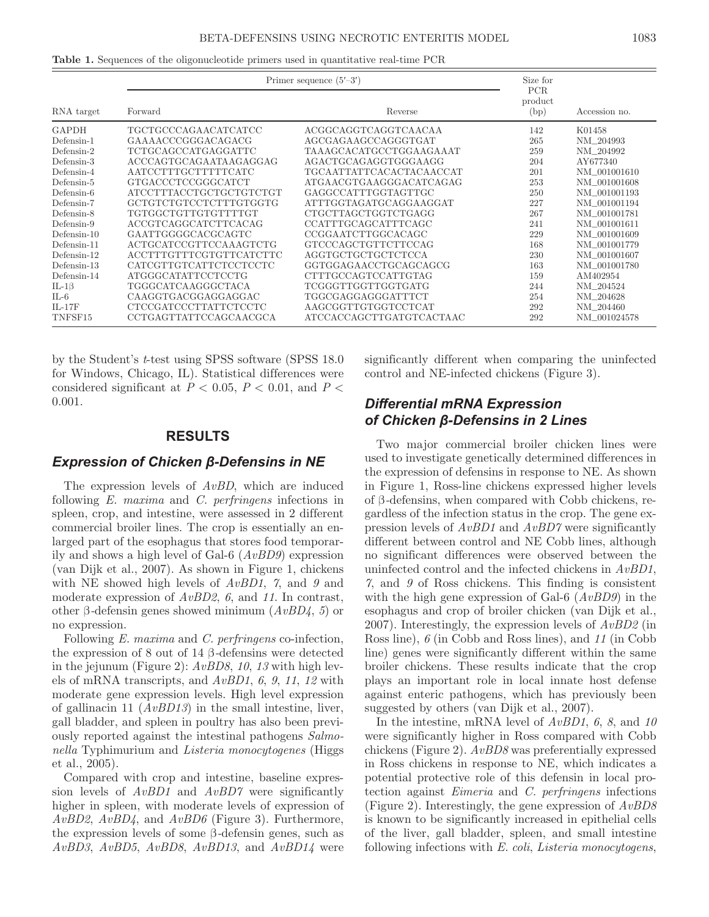|  |  |  |  | <b>Table 1.</b> Sequences of the oligonucleotide primers used in quantitative real-time PCR |  |
|--|--|--|--|---------------------------------------------------------------------------------------------|--|
|--|--|--|--|---------------------------------------------------------------------------------------------|--|

|                | Primer sequence $(5'-3')$ | Size for                 |                               |               |
|----------------|---------------------------|--------------------------|-------------------------------|---------------|
| RNA target     | Forward                   | Reverse                  | <b>PCR</b><br>product<br>(bp) | Accession no. |
| GAPDH          | TGCTGCCCAGAACATCATCC      | ACGGCAGGTCAGGTCAACAA     | 142                           | K01458        |
| Defensin-1     | GAAAACCCGGGACAGACG        | AGCGAGAAGCCAGGGTGAT      | 265                           | NM_204993     |
| $Defension-2$  | TCTGCAGCCATGAGGATTC       | TAAAGCACATGCCTGGAAGAAAT  | 259                           | NM_204992     |
| Defensin-3     | ACCCAGTGCAGAATAAGAGGAG    | AGACTGCAGAGGTGGGAAGG     | 204                           | AY677340      |
| Defensin-4     | AATCCTTTGCTTTTTCATC       | TGCAATTATTCACACTACAACCAT | 201                           | NM_001001610  |
| Defensin-5     | GTGACCCTCCGGGCATCT        | ATGAACGTGAAGGGACATCAGAG  | 253                           | NM_001001608  |
| Defensin-6     | ATCCTTTACCTGCTGCTGTCTGT   | GAGGCCATTTGGTAGTTGC      | 250                           | NM_001001193  |
| Defensin-7     | GCTGTCTGTCCTCTTTGTGGTG    | ATTTGGTAGATGCAGGAAGGAT   | 227                           | NM 001001194  |
| Defensin-8     | TGTGGCTGTTGTGTTTTGT       | CTGCTTAGCTGGTCTGAGG      | 267                           | NM 001001781  |
| Defensin-9     | ACCGTCAGGCATCTTCACAG      | CCATTTGCAGCATTTCAGC      | 241                           | NM_001001611  |
| $Defension-10$ | GAATTGGGGCACGCAGTC        | CCGGAATCTTGGCACAGC       | 229                           | NM 001001609  |
| Defensin-11    | ACTGCATCCGTTCCAAAGTCTG    | GTCCCAGCTGTTCTTCCAG      | 168                           | NM 001001779  |
| Defensin-12    | ACCTTTGTTTCGTGTTCATCTTC   | AGGTGCTGCTGCTCTCCA       | 230                           | NM_001001607  |
| Defensin-13    | CATCGTTGTCATTCTCCTCCTC    | GGTGGAGAACCTGCAGCAGCG    | 163                           | NM 001001780  |
| Defensin-14    | ATGGGCATATTCCTCCTG        | CTTTGCCAGTCCATTGTAG      | 159                           | AM402954      |
| IL-1 $\beta$   | TGGGCATCAAGGGCTACA        | TCGGGTTGGTTGGTGATG       | 244                           | NM_204524     |
| $IL-6$         | CAAGGTGACGGAGGAGGAC       | TGGCGAGGAGGGATTTCT       | 254                           | NM 204628     |
| $IL-17F$       | CTCCGATCCCTTATTCTCCTC     | AAGCGGTTGTGGTCCTCAT      | 292                           | NM_204460     |
| TNFSF15        | CCTGAGTTATTCCAGCAACGCA    | ATCCACCAGCTTGATGTCACTAAC | 292                           | NM_001024578  |

by the Student's *t*-test using SPSS software (SPSS 18.0 for Windows, Chicago, IL). Statistical differences were considered significant at  $P < 0.05$ ,  $P < 0.01$ , and  $P <$ 0.001.

#### **RESULTS**

#### *Expression of Chicken β-Defensins in NE*

The expression levels of *AvBD*, which are induced following *E. maxima* and *C. perfringens* infections in spleen, crop, and intestine, were assessed in 2 different commercial broiler lines. The crop is essentially an enlarged part of the esophagus that stores food temporarily and shows a high level of Gal-6 (*AvBD9*) expression (van Dijk et al., 2007). As shown in Figure 1, chickens with NE showed high levels of *AvBD1*, *7*, and *9* and moderate expression of *AvBD2*, *6*, and *11*. In contrast, other β*-*defensin genes showed minimum (*AvBD4*, *5*) or no expression.

Following *E. maxima* and *C. perfringens* co-infection, the expression of 8 out of 14 β*-*defensins were detected in the jejunum (Figure 2): *AvBD8*, *10*, *13* with high levels of mRNA transcripts, and *AvBD1*, *6*, *9*, *11*, *12* with moderate gene expression levels. High level expression of gallinacin 11 (*AvBD13*) in the small intestine, liver, gall bladder, and spleen in poultry has also been previously reported against the intestinal pathogens *Salmonella* Typhimurium and *Listeria monocytogenes* (Higgs et al., 2005).

Compared with crop and intestine, baseline expression levels of *AvBD1* and *AvBD7* were significantly higher in spleen, with moderate levels of expression of *AvBD2*, *AvBD4*, and *AvBD6* (Figure 3). Furthermore, the expression levels of some β*-*defensin genes, such as *AvBD3*, *AvBD5*, *AvBD8*, *AvBD13*, and *AvBD14* were significantly different when comparing the uninfected control and NE-infected chickens (Figure 3).

# *Differential mRNA Expression of Chicken β-Defensins in 2 Lines*

Two major commercial broiler chicken lines were used to investigate genetically determined differences in the expression of defensins in response to NE. As shown in Figure 1, Ross-line chickens expressed higher levels of β*-*defensins, when compared with Cobb chickens, regardless of the infection status in the crop. The gene expression levels of *AvBD1* and *AvBD7* were significantly different between control and NE Cobb lines, although no significant differences were observed between the uninfected control and the infected chickens in *AvBD1*, *7*, and *9* of Ross chickens. This finding is consistent with the high gene expression of Gal-6 (*AvBD9*) in the esophagus and crop of broiler chicken (van Dijk et al., 2007). Interestingly, the expression levels of *AvBD2* (in Ross line), *6* (in Cobb and Ross lines), and *11* (in Cobb line) genes were significantly different within the same broiler chickens. These results indicate that the crop plays an important role in local innate host defense against enteric pathogens, which has previously been suggested by others (van Dijk et al., 2007).

In the intestine, mRNA level of *AvBD1*, *6*, *8*, and *10* were significantly higher in Ross compared with Cobb chickens (Figure 2). *AvBD8* was preferentially expressed in Ross chickens in response to NE, which indicates a potential protective role of this defensin in local protection against *Eimeria* and *C. perfringens* infections (Figure 2). Interestingly, the gene expression of *AvBD8* is known to be significantly increased in epithelial cells of the liver, gall bladder, spleen, and small intestine following infections with *E. coli*, *Listeria monocytogens*,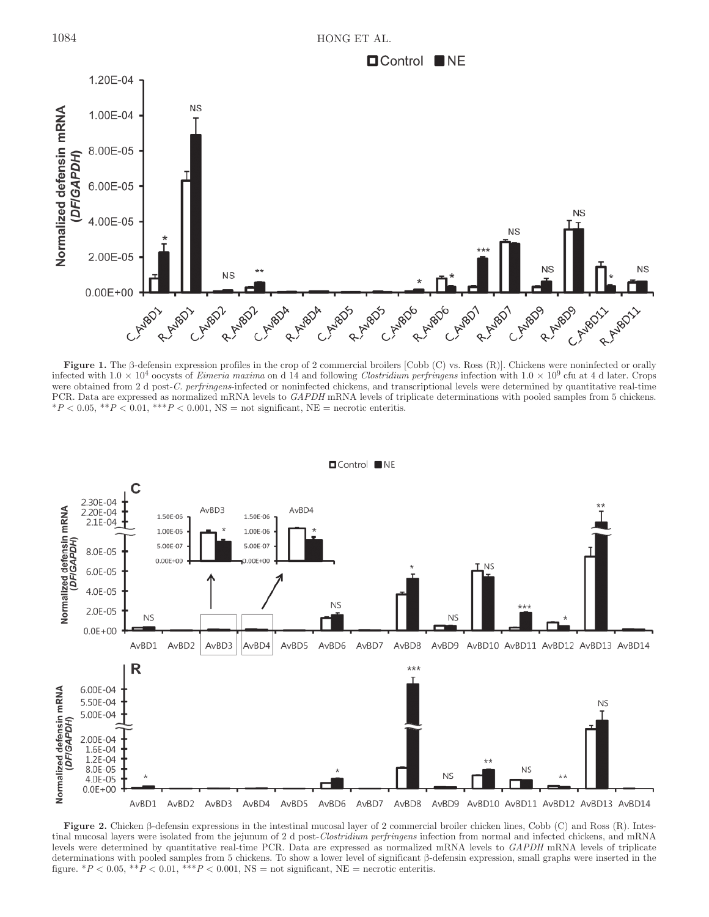

**Figure 1.** The β-defensin expression profiles in the crop of 2 commercial broilers [Cobb (C) vs. Ross (R)]. Chickens were noninfected or orally infected with  $1.0 \times 10^4$  oocysts of *Eimeria maxima* on d 14 and following *Clostridium perfringens* infection with  $1.0 \times 10^9$  cfu at 4 d later. Crops were obtained from 2 d post-*C. perfringens*-infected or noninfected chickens, and transcriptional levels were determined by quantitative real-time PCR. Data are expressed as normalized mRNA levels to *GAPDH* mRNA levels of triplicate determinations with pooled samples from 5 chickens.  $*P < 0.05, **P < 0.01, ***P < 0.001, NS = not significant, NE = necrotic enteritis.$ 



**OControl** NE

**Figure 2.** Chicken β-defensin expressions in the intestinal mucosal layer of 2 commercial broiler chicken lines, Cobb (C) and Ross (R). Intestinal mucosal layers were isolated from the jejunum of 2 d post-*Clostridium perfringens* infection from normal and infected chickens, and mRNA levels were determined by quantitative real-time PCR. Data are expressed as normalized mRNA levels to *GAPDH* mRNA levels of triplicate determinations with pooled samples from 5 chickens. To show a lower level of significant β-defensin expression, small graphs were inserted in the figure.  $*P < 0.05$ ,  $*P < 0.01$ ,  $*+P < 0.001$ , NS = not significant, NE = necrotic enteritis.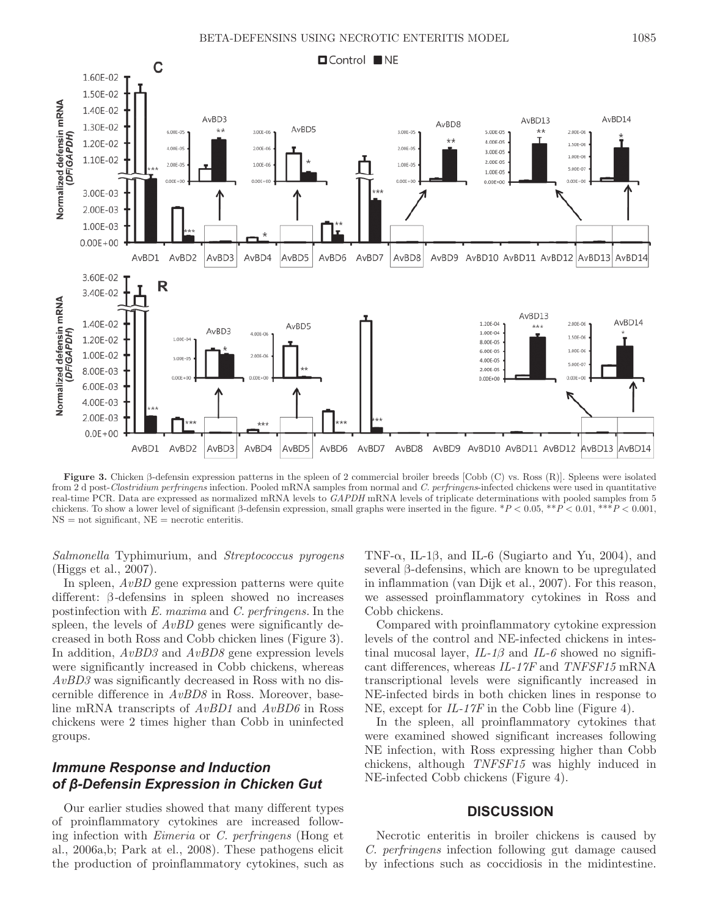

**Figure 3.** Chicken β-defensin expression patterns in the spleen of 2 commercial broiler breeds [Cobb (C) vs. Ross (R)]. Spleens were isolated from 2 d post-*Clostridium perfringens* infection. Pooled mRNA samples from normal and *C. perfringens*-infected chickens were used in quantitative real-time PCR. Data are expressed as normalized mRNA levels to *GAPDH* mRNA levels of triplicate determinations with pooled samples from 5 chickens. To show a lower level of significant β-defensin expression, small graphs were inserted in the figure. \**P* < 0.05, \*\**P* < 0.01, \*\*\**P* < 0.001,  $NS = not$  significant,  $NE =$  necrotic enteritis.

*Salmonella* Typhimurium, and *Streptococcus pyrogens* (Higgs et al., 2007).

In spleen, *AvBD* gene expression patterns were quite different: β*-*defensins in spleen showed no increases postinfection with *E. maxima* and *C. perfringens.* In the spleen, the levels of  $AvBD$  genes were significantly decreased in both Ross and Cobb chicken lines (Figure 3). In addition, *AvBD3* and *AvBD8* gene expression levels were significantly increased in Cobb chickens, whereas *AvBD3* was significantly decreased in Ross with no discernible difference in *AvBD8* in Ross. Moreover, baseline mRNA transcripts of *AvBD1* and *AvBD6* in Ross chickens were 2 times higher than Cobb in uninfected groups.

### *Immune Response and Induction of β-Defensin Expression in Chicken Gut*

Our earlier studies showed that many different types of proinflammatory cytokines are increased following infection with *Eimeria* or *C. perfringens* (Hong et al., 2006a,b; Park at el., 2008). These pathogens elicit the production of proinflammatory cytokines, such as TNF- $\alpha$ , IL-1 $\beta$ , and IL-6 (Sugiarto and Yu, 2004), and several β-defensins, which are known to be upregulated in inflammation (van Dijk et al., 2007). For this reason, we assessed proinflammatory cytokines in Ross and Cobb chickens.

Compared with proinflammatory cytokine expression levels of the control and NE-infected chickens in intestinal mucosal layer, *IL-1β* and *IL-6* showed no significant differences, whereas *IL-17F* and *TNFSF15* mRNA transcriptional levels were significantly increased in NE-infected birds in both chicken lines in response to NE, except for *IL-17F* in the Cobb line (Figure 4).

In the spleen, all proinflammatory cytokines that were examined showed significant increases following NE infection, with Ross expressing higher than Cobb chickens, although *TNFSF15* was highly induced in NE-infected Cobb chickens (Figure 4).

### **DISCUSSION**

Necrotic enteritis in broiler chickens is caused by *C. perfringens* infection following gut damage caused by infections such as coccidiosis in the midintestine.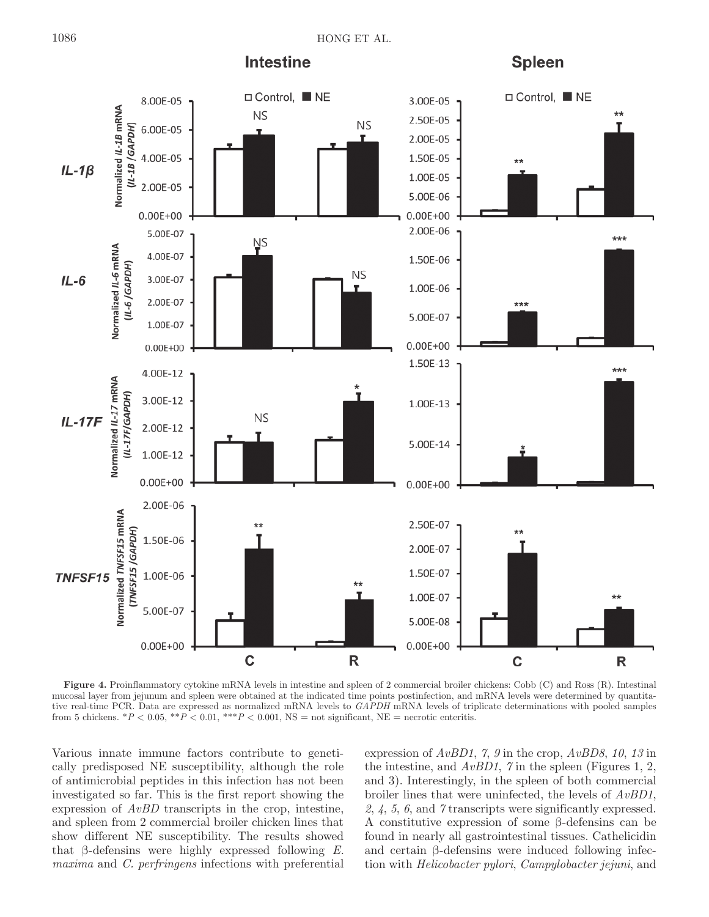**Intestine** 

**Spleen** 



**Figure 4.** Proinflammatory cytokine mRNA levels in intestine and spleen of 2 commercial broiler chickens: Cobb (C) and Ross (R). Intestinal mucosal layer from jejunum and spleen were obtained at the indicated time points postinfection, and mRNA levels were determined by quantitative real-time PCR. Data are expressed as normalized mRNA levels to *GAPDH* mRNA levels of triplicate determinations with pooled samples from 5 chickens.  $*P < 0.05$ ,  $**P < 0.01$ ,  $**P < 0.001$ , NS = not significant, NE = necrotic enteritis.

Various innate immune factors contribute to genetically predisposed NE susceptibility, although the role of antimicrobial peptides in this infection has not been investigated so far. This is the first report showing the expression of *AvBD* transcripts in the crop, intestine, and spleen from 2 commercial broiler chicken lines that show different NE susceptibility. The results showed that β-defensins were highly expressed following *E. maxima* and *C. perfringens* infections with preferential expression of *AvBD1*, *7*, *9* in the crop, *AvBD8*, *10*, *13* in the intestine, and *AvBD1*, *7* in the spleen (Figures 1, 2, and 3). Interestingly, in the spleen of both commercial broiler lines that were uninfected, the levels of *AvBD1*, *2*, *4*, *5*, *6*, and *7* transcripts were significantly expressed. A constitutive expression of some β-defensins can be found in nearly all gastrointestinal tissues. Cathelicidin and certain β-defensins were induced following infection with *Helicobacter pylori*, *Campylobacter jejuni*, and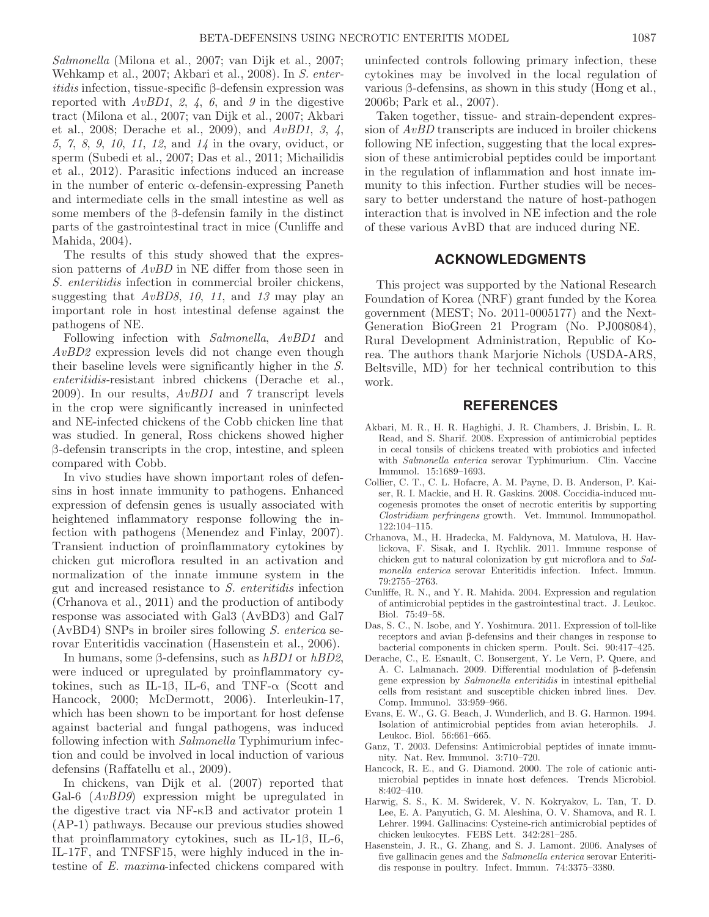*Salmonella* (Milona et al., 2007; van Dijk et al., 2007; Wehkamp et al., 2007; Akbari et al., 2008). In *S. enteritidis* infection, tissue-specific β-defensin expression was reported with *AvBD1*, *2*, *4*, *6*, and *9* in the digestive tract (Milona et al., 2007; van Dijk et al., 2007; Akbari et al., 2008; Derache et al., 2009), and *AvBD1*, *3*, *4*, *5*, *7*, *8*, *9*, *10*, *11*, *12*, and *14* in the ovary, oviduct, or sperm (Subedi et al., 2007; Das et al., 2011; Michailidis et al., 2012). Parasitic infections induced an increase in the number of enteric  $\alpha$ -defensin-expressing Paneth and intermediate cells in the small intestine as well as some members of the β-defensin family in the distinct parts of the gastrointestinal tract in mice (Cunliffe and Mahida, 2004).

The results of this study showed that the expression patterns of *AvBD* in NE differ from those seen in *S. enteritidis* infection in commercial broiler chickens, suggesting that *AvBD8*, *10*, *11*, and *13* may play an important role in host intestinal defense against the pathogens of NE.

Following infection with *Salmonella*, *AvBD1* and *AvBD2* expression levels did not change even though their baseline levels were significantly higher in the *S. enteritidis-*resistant inbred chickens (Derache et al., 2009). In our results, *AvBD1* and *7* transcript levels in the crop were significantly increased in uninfected and NE-infected chickens of the Cobb chicken line that was studied. In general, Ross chickens showed higher β-defensin transcripts in the crop, intestine, and spleen compared with Cobb.

In vivo studies have shown important roles of defensins in host innate immunity to pathogens. Enhanced expression of defensin genes is usually associated with heightened inflammatory response following the infection with pathogens (Menendez and Finlay, 2007). Transient induction of proinflammatory cytokines by chicken gut microflora resulted in an activation and normalization of the innate immune system in the gut and increased resistance to *S. enteritidis* infection (Crhanova et al., 2011) and the production of antibody response was associated with Gal3 (AvBD3) and Gal7 (AvBD4) SNPs in broiler sires following *S. enterica* serovar Enteritidis vaccination (Hasenstein et al., 2006).

In humans, some β-defensins, such as *hBD1* or *hBD2*, were induced or upregulated by proinflammatory cytokines, such as IL-1 $\beta$ , IL-6, and TNF- $\alpha$  (Scott and Hancock, 2000; McDermott, 2006). Interleukin-17, which has been shown to be important for host defense against bacterial and fungal pathogens, was induced following infection with *Salmonella* Typhimurium infection and could be involved in local induction of various defensins (Raffatellu et al., 2009).

In chickens, van Dijk et al. (2007) reported that Gal-6 (*AvBD9*) expression might be upregulated in the digestive tract via NF-κB and activator protein 1 (AP-1) pathways. Because our previous studies showed that proinflammatory cytokines, such as IL-1β, IL-6, IL-17F, and TNFSF15, were highly induced in the intestine of *E. maxima*-infected chickens compared with

uninfected controls following primary infection, these cytokines may be involved in the local regulation of various β-defensins, as shown in this study (Hong et al., 2006b; Park et al., 2007).

Taken together, tissue- and strain-dependent expression of *AvBD* transcripts are induced in broiler chickens following NE infection, suggesting that the local expression of these antimicrobial peptides could be important in the regulation of inflammation and host innate immunity to this infection. Further studies will be necessary to better understand the nature of host-pathogen interaction that is involved in NE infection and the role of these various AvBD that are induced during NE.

### **ACKNOWLEDGMENTS**

This project was supported by the National Research Foundation of Korea (NRF) grant funded by the Korea government (MEST; No. 2011-0005177) and the Next-Generation BioGreen 21 Program (No. PJ008084), Rural Development Administration, Republic of Korea. The authors thank Marjorie Nichols (USDA-ARS, Beltsville, MD) for her technical contribution to this work.

#### **REFERENCES**

- Akbari, M. R., H. R. Haghighi, J. R. Chambers, J. Brisbin, L. R. Read, and S. Sharif. 2008. Expression of antimicrobial peptides in cecal tonsils of chickens treated with probiotics and infected with *Salmonella enterica* serovar Typhimurium. Clin. Vaccine Immunol. 15:1689–1693.
- Collier, C. T., C. L. Hofacre, A. M. Payne, D. B. Anderson, P. Kaiser, R. I. Mackie, and H. R. Gaskins. 2008. Coccidia-induced mucogenesis promotes the onset of necrotic enteritis by supporting *Clostridium perfringens* growth. Vet. Immunol. Immunopathol. 122:104–115.
- Crhanova, M., H. Hradecka, M. Faldynova, M. Matulova, H. Havlickova, F. Sisak, and I. Rychlik. 2011. Immune response of chicken gut to natural colonization by gut microflora and to *Salmonella enterica* serovar Enteritidis infection. Infect. Immun. 79:2755–2763.
- Cunliffe, R. N., and Y. R. Mahida. 2004. Expression and regulation of antimicrobial peptides in the gastrointestinal tract. J. Leukoc. Biol. 75:49–58.
- Das, S. C., N. Isobe, and Y. Yoshimura. 2011. Expression of toll-like receptors and avian β-defensins and their changes in response to bacterial components in chicken sperm. Poult. Sci. 90:417–425.
- Derache, C., E. Esnault, C. Bonsergent, Y. Le Vern, P. Quere, and A. C. Lalmanach. 2009. Differential modulation of β-defensin gene expression by *Salmonella enteritidis* in intestinal epithelial cells from resistant and susceptible chicken inbred lines. Dev. Comp. Immunol. 33:959–966.
- Evans, E. W., G. G. Beach, J. Wunderlich, and B. G. Harmon. 1994. Isolation of antimicrobial peptides from avian heterophils. J. Leukoc. Biol. 56:661–665.
- Ganz, T. 2003. Defensins: Antimicrobial peptides of innate immunity. Nat. Rev. Immunol. 3:710–720.
- Hancock, R. E., and G. Diamond. 2000. The role of cationic antimicrobial peptides in innate host defences. Trends Microbiol. 8:402–410.
- Harwig, S. S., K. M. Swiderek, V. N. Kokryakov, L. Tan, T. D. Lee, E. A. Panyutich, G. M. Aleshina, O. V. Shamova, and R. I. Lehrer. 1994. Gallinacins: Cysteine-rich antimicrobial peptides of chicken leukocytes. FEBS Lett. 342:281–285.
- Hasenstein, J. R., G. Zhang, and S. J. Lamont. 2006. Analyses of five gallinacin genes and the *Salmonella enterica* serovar Enteritidis response in poultry. Infect. Immun. 74:3375–3380.